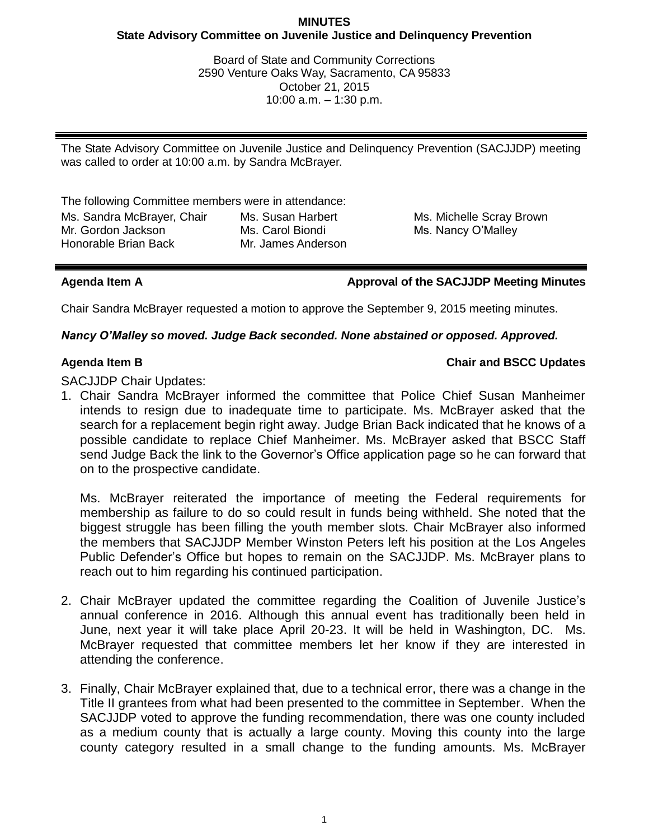## **MINUTES State Advisory Committee on Juvenile Justice and Delinquency Prevention**

Board of State and Community Corrections 2590 Venture Oaks Way, Sacramento, CA 95833 October 21, 2015 10:00 a.m. – 1:30 p.m.

The State Advisory Committee on Juvenile Justice and Delinquency Prevention (SACJJDP) meeting was called to order at 10:00 a.m. by Sandra McBrayer.

The following Committee members were in attendance:

Ms. Sandra McBrayer, Chair Mr. Gordon Jackson Honorable Brian Back Ms. Susan Harbert Ms. Carol Biondi Mr. James Anderson Ms. Michelle Scray Brown Ms. Nancy O'Malley

**Agenda Item A Approval of the SACJJDP Meeting Minutes**

Chair Sandra McBrayer requested a motion to approve the September 9, 2015 meeting minutes.

# *Nancy O'Malley so moved. Judge Back seconded. None abstained or opposed. Approved.*

# **Agenda Item B Chair and BSCC Updates**

SACJJDP Chair Updates:

1. Chair Sandra McBrayer informed the committee that Police Chief Susan Manheimer intends to resign due to inadequate time to participate. Ms. McBrayer asked that the search for a replacement begin right away. Judge Brian Back indicated that he knows of a possible candidate to replace Chief Manheimer. Ms. McBrayer asked that BSCC Staff send Judge Back the link to the Governor's Office application page so he can forward that on to the prospective candidate.

Ms. McBrayer reiterated the importance of meeting the Federal requirements for membership as failure to do so could result in funds being withheld. She noted that the biggest struggle has been filling the youth member slots. Chair McBrayer also informed the members that SACJJDP Member Winston Peters left his position at the Los Angeles Public Defender's Office but hopes to remain on the SACJJDP. Ms. McBrayer plans to reach out to him regarding his continued participation.

- 2. Chair McBrayer updated the committee regarding the Coalition of Juvenile Justice's annual conference in 2016. Although this annual event has traditionally been held in June, next year it will take place April 20-23. It will be held in Washington, DC. Ms. McBrayer requested that committee members let her know if they are interested in attending the conference.
- 3. Finally, Chair McBrayer explained that, due to a technical error, there was a change in the Title II grantees from what had been presented to the committee in September. When the SACJJDP voted to approve the funding recommendation, there was one county included as a medium county that is actually a large county. Moving this county into the large county category resulted in a small change to the funding amounts. Ms. McBrayer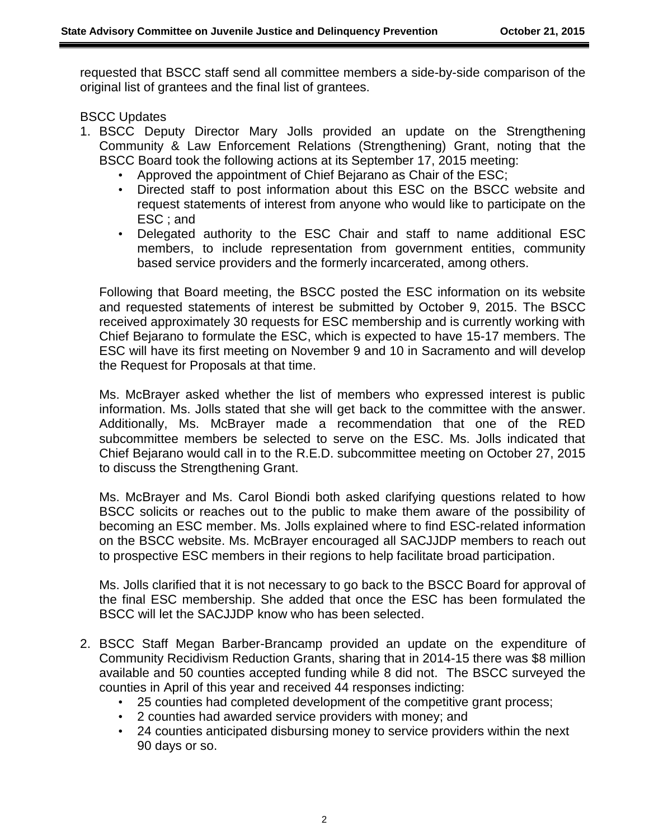requested that BSCC staff send all committee members a side-by-side comparison of the original list of grantees and the final list of grantees.

BSCC Updates

- 1. BSCC Deputy Director Mary Jolls provided an update on the Strengthening Community & Law Enforcement Relations (Strengthening) Grant, noting that the BSCC Board took the following actions at its September 17, 2015 meeting:
	- Approved the appointment of Chief Bejarano as Chair of the ESC;
	- Directed staff to post information about this ESC on the BSCC website and request statements of interest from anyone who would like to participate on the ESC ; and
	- Delegated authority to the ESC Chair and staff to name additional ESC members, to include representation from government entities, community based service providers and the formerly incarcerated, among others.

Following that Board meeting, the BSCC posted the ESC information on its website and requested statements of interest be submitted by October 9, 2015. The BSCC received approximately 30 requests for ESC membership and is currently working with Chief Bejarano to formulate the ESC, which is expected to have 15-17 members. The ESC will have its first meeting on November 9 and 10 in Sacramento and will develop the Request for Proposals at that time.

Ms. McBrayer asked whether the list of members who expressed interest is public information. Ms. Jolls stated that she will get back to the committee with the answer. Additionally, Ms. McBrayer made a recommendation that one of the RED subcommittee members be selected to serve on the ESC. Ms. Jolls indicated that Chief Bejarano would call in to the R.E.D. subcommittee meeting on October 27, 2015 to discuss the Strengthening Grant.

Ms. McBrayer and Ms. Carol Biondi both asked clarifying questions related to how BSCC solicits or reaches out to the public to make them aware of the possibility of becoming an ESC member. Ms. Jolls explained where to find ESC-related information on the BSCC website. Ms. McBrayer encouraged all SACJJDP members to reach out to prospective ESC members in their regions to help facilitate broad participation.

Ms. Jolls clarified that it is not necessary to go back to the BSCC Board for approval of the final ESC membership. She added that once the ESC has been formulated the BSCC will let the SACJJDP know who has been selected.

- 2. BSCC Staff Megan Barber-Brancamp provided an update on the expenditure of Community Recidivism Reduction Grants, sharing that in 2014-15 there was \$8 million available and 50 counties accepted funding while 8 did not. The BSCC surveyed the counties in April of this year and received 44 responses indicting:
	- 25 counties had completed development of the competitive grant process;
	- 2 counties had awarded service providers with money; and
	- 24 counties anticipated disbursing money to service providers within the next 90 days or so.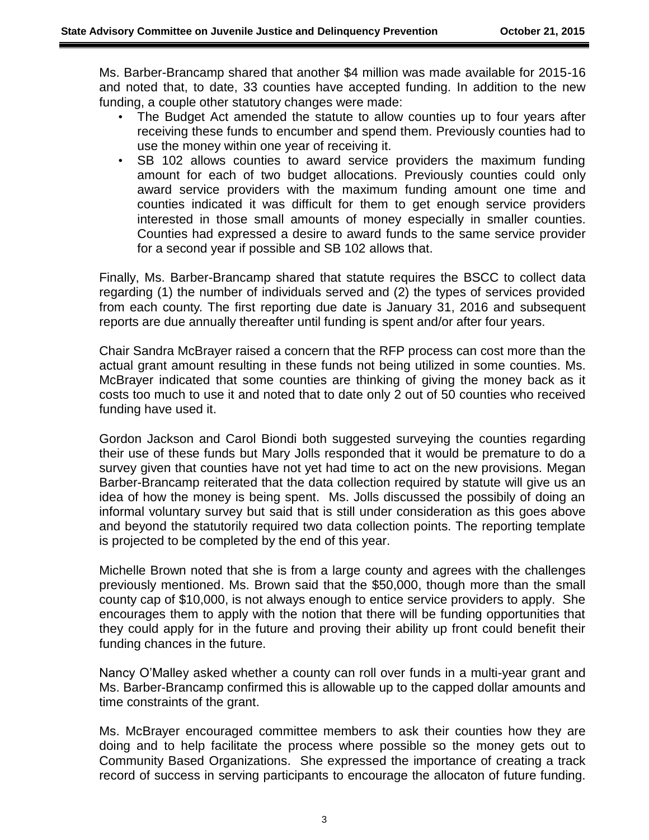Ms. Barber-Brancamp shared that another \$4 million was made available for 2015-16 and noted that, to date, 33 counties have accepted funding. In addition to the new funding, a couple other statutory changes were made:

- The Budget Act amended the statute to allow counties up to four years after receiving these funds to encumber and spend them. Previously counties had to use the money within one year of receiving it.
- SB 102 allows counties to award service providers the maximum funding amount for each of two budget allocations. Previously counties could only award service providers with the maximum funding amount one time and counties indicated it was difficult for them to get enough service providers interested in those small amounts of money especially in smaller counties. Counties had expressed a desire to award funds to the same service provider for a second year if possible and SB 102 allows that.

Finally, Ms. Barber-Brancamp shared that statute requires the BSCC to collect data regarding (1) the number of individuals served and (2) the types of services provided from each county. The first reporting due date is January 31, 2016 and subsequent reports are due annually thereafter until funding is spent and/or after four years.

Chair Sandra McBrayer raised a concern that the RFP process can cost more than the actual grant amount resulting in these funds not being utilized in some counties. Ms. McBrayer indicated that some counties are thinking of giving the money back as it costs too much to use it and noted that to date only 2 out of 50 counties who received funding have used it.

Gordon Jackson and Carol Biondi both suggested surveying the counties regarding their use of these funds but Mary Jolls responded that it would be premature to do a survey given that counties have not yet had time to act on the new provisions. Megan Barber-Brancamp reiterated that the data collection required by statute will give us an idea of how the money is being spent. Ms. Jolls discussed the possibily of doing an informal voluntary survey but said that is still under consideration as this goes above and beyond the statutorily required two data collection points. The reporting template is projected to be completed by the end of this year.

Michelle Brown noted that she is from a large county and agrees with the challenges previously mentioned. Ms. Brown said that the \$50,000, though more than the small county cap of \$10,000, is not always enough to entice service providers to apply. She encourages them to apply with the notion that there will be funding opportunities that they could apply for in the future and proving their ability up front could benefit their funding chances in the future.

Nancy O'Malley asked whether a county can roll over funds in a multi-year grant and Ms. Barber-Brancamp confirmed this is allowable up to the capped dollar amounts and time constraints of the grant.

Ms. McBrayer encouraged committee members to ask their counties how they are doing and to help facilitate the process where possible so the money gets out to Community Based Organizations. She expressed the importance of creating a track record of success in serving participants to encourage the allocaton of future funding.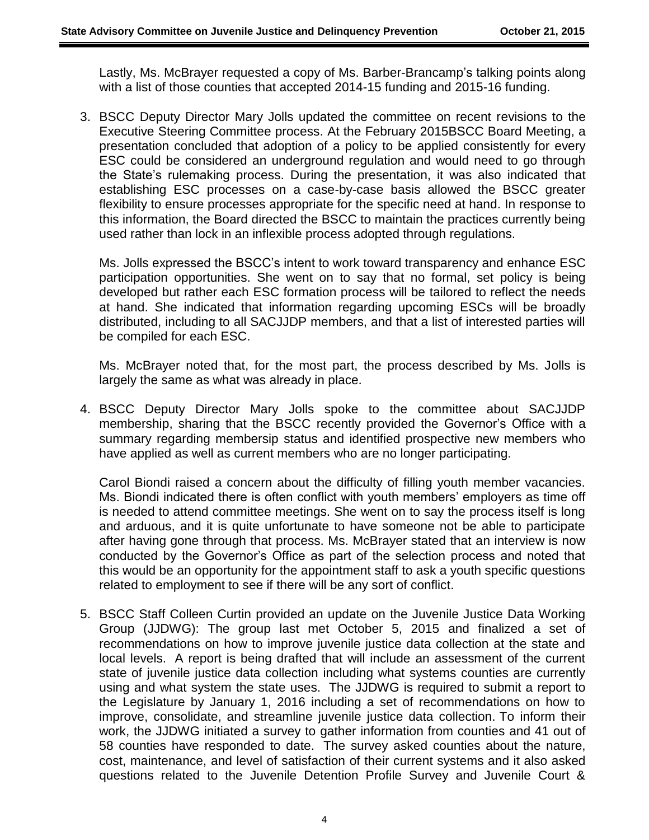Lastly, Ms. McBrayer requested a copy of Ms. Barber-Brancamp's talking points along with a list of those counties that accepted 2014-15 funding and 2015-16 funding.

3. BSCC Deputy Director Mary Jolls updated the committee on recent revisions to the Executive Steering Committee process. At the February 2015BSCC Board Meeting, a presentation concluded that adoption of a policy to be applied consistently for every ESC could be considered an underground regulation and would need to go through the State's rulemaking process. During the presentation, it was also indicated that establishing ESC processes on a case-by-case basis allowed the BSCC greater flexibility to ensure processes appropriate for the specific need at hand. In response to this information, the Board directed the BSCC to maintain the practices currently being used rather than lock in an inflexible process adopted through regulations.

Ms. Jolls expressed the BSCC's intent to work toward transparency and enhance ESC participation opportunities. She went on to say that no formal, set policy is being developed but rather each ESC formation process will be tailored to reflect the needs at hand. She indicated that information regarding upcoming ESCs will be broadly distributed, including to all SACJJDP members, and that a list of interested parties will be compiled for each ESC.

Ms. McBrayer noted that, for the most part, the process described by Ms. Jolls is largely the same as what was already in place.

4. BSCC Deputy Director Mary Jolls spoke to the committee about SACJJDP membership, sharing that the BSCC recently provided the Governor's Office with a summary regarding membersip status and identified prospective new members who have applied as well as current members who are no longer participating.

Carol Biondi raised a concern about the difficulty of filling youth member vacancies. Ms. Biondi indicated there is often conflict with youth members' employers as time off is needed to attend committee meetings. She went on to say the process itself is long and arduous, and it is quite unfortunate to have someone not be able to participate after having gone through that process. Ms. McBrayer stated that an interview is now conducted by the Governor's Office as part of the selection process and noted that this would be an opportunity for the appointment staff to ask a youth specific questions related to employment to see if there will be any sort of conflict.

5. BSCC Staff Colleen Curtin provided an update on the Juvenile Justice Data Working Group (JJDWG): The group last met October 5, 2015 and finalized a set of recommendations on how to improve juvenile justice data collection at the state and local levels. A report is being drafted that will include an assessment of the current state of juvenile justice data collection including what systems counties are currently using and what system the state uses. The JJDWG is required to submit a report to the Legislature by January 1, 2016 including a set of recommendations on how to improve, consolidate, and streamline juvenile justice data collection. To inform their work, the JJDWG initiated a survey to gather information from counties and 41 out of 58 counties have responded to date. The survey asked counties about the nature, cost, maintenance, and level of satisfaction of their current systems and it also asked questions related to the Juvenile Detention Profile Survey and Juvenile Court &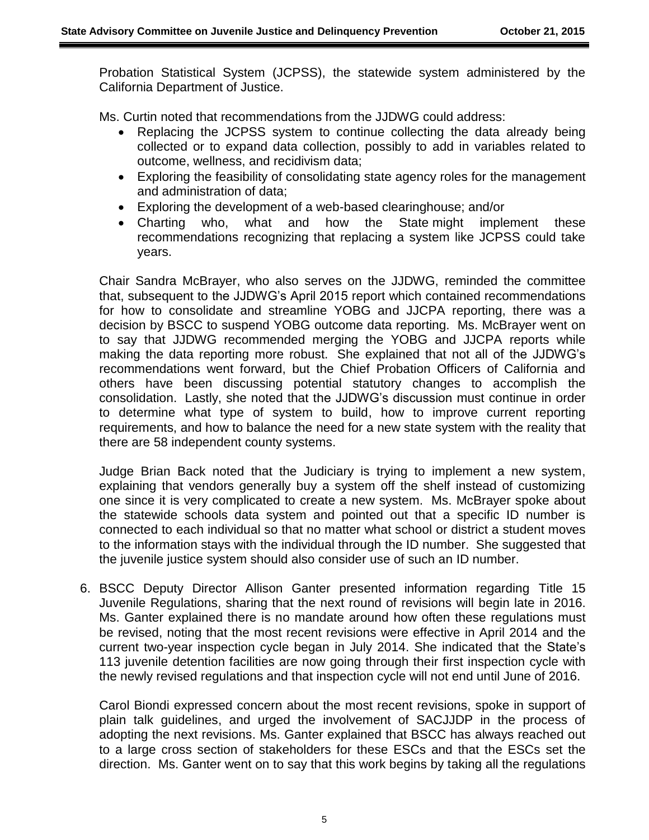Probation Statistical System (JCPSS), the statewide system administered by the California Department of Justice.

Ms. Curtin noted that recommendations from the JJDWG could address:

- Replacing the JCPSS system to continue collecting the data already being collected or to expand data collection, possibly to add in variables related to outcome, wellness, and recidivism data;
- Exploring the feasibility of consolidating state agency roles for the management and administration of data;
- Exploring the development of a web-based clearinghouse; and/or
- Charting who, what and how the State might implement these recommendations recognizing that replacing a system like JCPSS could take years.

Chair Sandra McBrayer, who also serves on the JJDWG, reminded the committee that, subsequent to the JJDWG's April 2015 report which contained recommendations for how to consolidate and streamline YOBG and JJCPA reporting, there was a decision by BSCC to suspend YOBG outcome data reporting. Ms. McBrayer went on to say that JJDWG recommended merging the YOBG and JJCPA reports while making the data reporting more robust. She explained that not all of the JJDWG's recommendations went forward, but the Chief Probation Officers of California and others have been discussing potential statutory changes to accomplish the consolidation. Lastly, she noted that the JJDWG's discussion must continue in order to determine what type of system to build, how to improve current reporting requirements, and how to balance the need for a new state system with the reality that there are 58 independent county systems.

Judge Brian Back noted that the Judiciary is trying to implement a new system, explaining that vendors generally buy a system off the shelf instead of customizing one since it is very complicated to create a new system. Ms. McBrayer spoke about the statewide schools data system and pointed out that a specific ID number is connected to each individual so that no matter what school or district a student moves to the information stays with the individual through the ID number. She suggested that the juvenile justice system should also consider use of such an ID number.

6. BSCC Deputy Director Allison Ganter presented information regarding Title 15 Juvenile Regulations, sharing that the next round of revisions will begin late in 2016. Ms. Ganter explained there is no mandate around how often these regulations must be revised, noting that the most recent revisions were effective in April 2014 and the current two-year inspection cycle began in July 2014. She indicated that the State's 113 juvenile detention facilities are now going through their first inspection cycle with the newly revised regulations and that inspection cycle will not end until June of 2016.

Carol Biondi expressed concern about the most recent revisions, spoke in support of plain talk guidelines, and urged the involvement of SACJJDP in the process of adopting the next revisions. Ms. Ganter explained that BSCC has always reached out to a large cross section of stakeholders for these ESCs and that the ESCs set the direction. Ms. Ganter went on to say that this work begins by taking all the regulations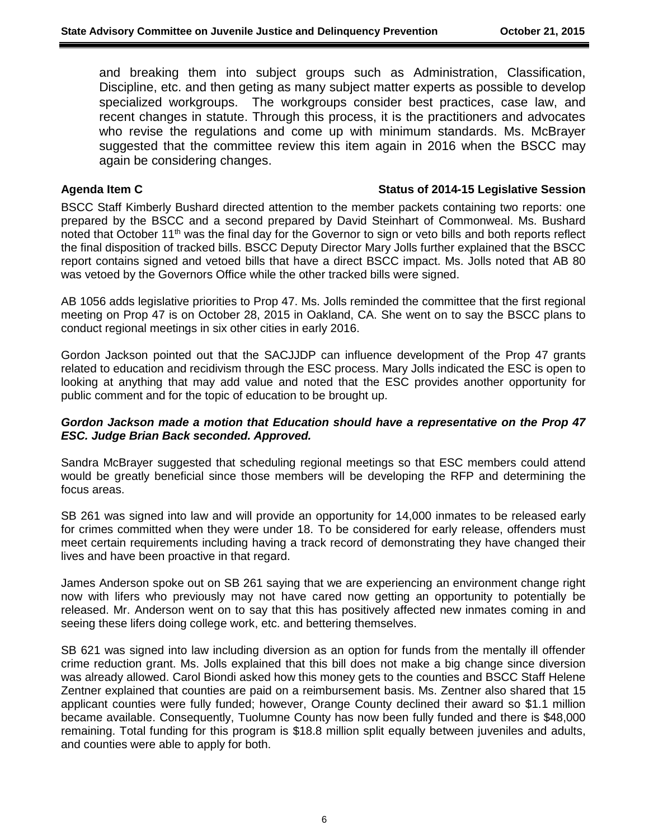and breaking them into subject groups such as Administration, Classification, Discipline, etc. and then geting as many subject matter experts as possible to develop specialized workgroups. The workgroups consider best practices, case law, and recent changes in statute. Through this process, it is the practitioners and advocates who revise the regulations and come up with minimum standards. Ms. McBrayer suggested that the committee review this item again in 2016 when the BSCC may again be considering changes.

### **Agenda Item C Status of 2014-15 Legislative Session**

BSCC Staff Kimberly Bushard directed attention to the member packets containing two reports: one prepared by the BSCC and a second prepared by David Steinhart of Commonweal. Ms. Bushard noted that October 11<sup>th</sup> was the final day for the Governor to sign or veto bills and both reports reflect the final disposition of tracked bills. BSCC Deputy Director Mary Jolls further explained that the BSCC report contains signed and vetoed bills that have a direct BSCC impact. Ms. Jolls noted that AB 80 was vetoed by the Governors Office while the other tracked bills were signed.

AB 1056 adds legislative priorities to Prop 47. Ms. Jolls reminded the committee that the first regional meeting on Prop 47 is on October 28, 2015 in Oakland, CA. She went on to say the BSCC plans to conduct regional meetings in six other cities in early 2016.

Gordon Jackson pointed out that the SACJJDP can influence development of the Prop 47 grants related to education and recidivism through the ESC process. Mary Jolls indicated the ESC is open to looking at anything that may add value and noted that the ESC provides another opportunity for public comment and for the topic of education to be brought up.

# *Gordon Jackson made a motion that Education should have a representative on the Prop 47 ESC. Judge Brian Back seconded. Approved.*

Sandra McBrayer suggested that scheduling regional meetings so that ESC members could attend would be greatly beneficial since those members will be developing the RFP and determining the focus areas.

SB 261 was signed into law and will provide an opportunity for 14,000 inmates to be released early for crimes committed when they were under 18. To be considered for early release, offenders must meet certain requirements including having a track record of demonstrating they have changed their lives and have been proactive in that regard.

James Anderson spoke out on SB 261 saying that we are experiencing an environment change right now with lifers who previously may not have cared now getting an opportunity to potentially be released. Mr. Anderson went on to say that this has positively affected new inmates coming in and seeing these lifers doing college work, etc. and bettering themselves.

SB 621 was signed into law including diversion as an option for funds from the mentally ill offender crime reduction grant. Ms. Jolls explained that this bill does not make a big change since diversion was already allowed. Carol Biondi asked how this money gets to the counties and BSCC Staff Helene Zentner explained that counties are paid on a reimbursement basis. Ms. Zentner also shared that 15 applicant counties were fully funded; however, Orange County declined their award so \$1.1 million became available. Consequently, Tuolumne County has now been fully funded and there is \$48,000 remaining. Total funding for this program is \$18.8 million split equally between juveniles and adults, and counties were able to apply for both.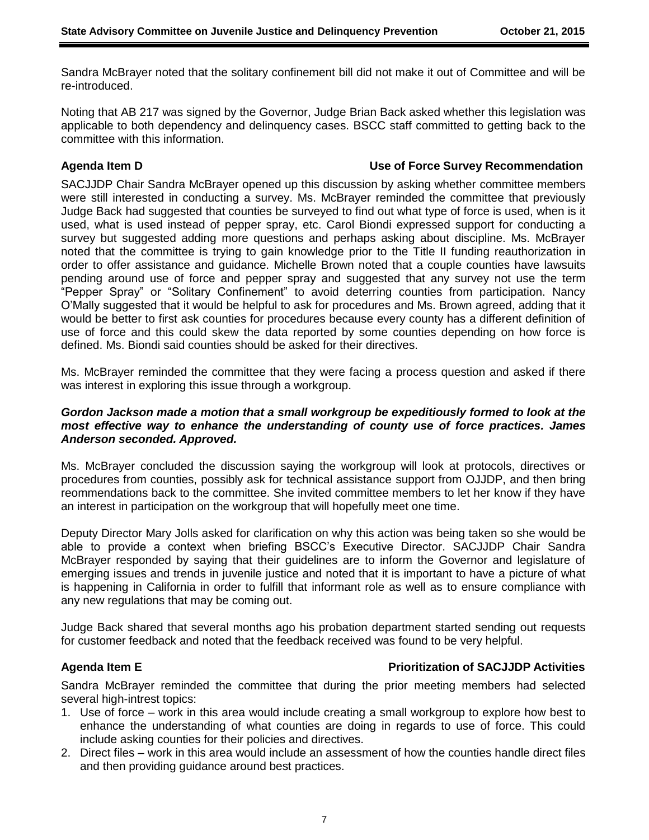Sandra McBrayer noted that the solitary confinement bill did not make it out of Committee and will be re-introduced.

Noting that AB 217 was signed by the Governor, Judge Brian Back asked whether this legislation was applicable to both dependency and delinquency cases. BSCC staff committed to getting back to the committee with this information.

## **Agenda Item D Use of Force Survey Recommendation**

SACJJDP Chair Sandra McBrayer opened up this discussion by asking whether committee members were still interested in conducting a survey. Ms. McBrayer reminded the committee that previously Judge Back had suggested that counties be surveyed to find out what type of force is used, when is it used, what is used instead of pepper spray, etc. Carol Biondi expressed support for conducting a survey but suggested adding more questions and perhaps asking about discipline. Ms. McBrayer noted that the committee is trying to gain knowledge prior to the Title II funding reauthorization in order to offer assistance and guidance. Michelle Brown noted that a couple counties have lawsuits pending around use of force and pepper spray and suggested that any survey not use the term "Pepper Spray" or "Solitary Confinement" to avoid deterring counties from participation. Nancy O'Mally suggested that it would be helpful to ask for procedures and Ms. Brown agreed, adding that it would be better to first ask counties for procedures because every county has a different definition of use of force and this could skew the data reported by some counties depending on how force is defined. Ms. Biondi said counties should be asked for their directives.

Ms. McBrayer reminded the committee that they were facing a process question and asked if there was interest in exploring this issue through a workgroup.

### *Gordon Jackson made a motion that a small workgroup be expeditiously formed to look at the most effective way to enhance the understanding of county use of force practices. James Anderson seconded. Approved.*

Ms. McBrayer concluded the discussion saying the workgroup will look at protocols, directives or procedures from counties, possibly ask for technical assistance support from OJJDP, and then bring reommendations back to the committee. She invited committee members to let her know if they have an interest in participation on the workgroup that will hopefully meet one time.

Deputy Director Mary Jolls asked for clarification on why this action was being taken so she would be able to provide a context when briefing BSCC's Executive Director. SACJJDP Chair Sandra McBrayer responded by saying that their guidelines are to inform the Governor and legislature of emerging issues and trends in juvenile justice and noted that it is important to have a picture of what is happening in California in order to fulfill that informant role as well as to ensure compliance with any new regulations that may be coming out.

Judge Back shared that several months ago his probation department started sending out requests for customer feedback and noted that the feedback received was found to be very helpful.

# **Agenda Item E Prioritization of SACJJDP Activities**

Sandra McBrayer reminded the committee that during the prior meeting members had selected several high-intrest topics:

- 1. Use of force work in this area would include creating a small workgroup to explore how best to enhance the understanding of what counties are doing in regards to use of force. This could include asking counties for their policies and directives.
- 2. Direct files work in this area would include an assessment of how the counties handle direct files and then providing guidance around best practices.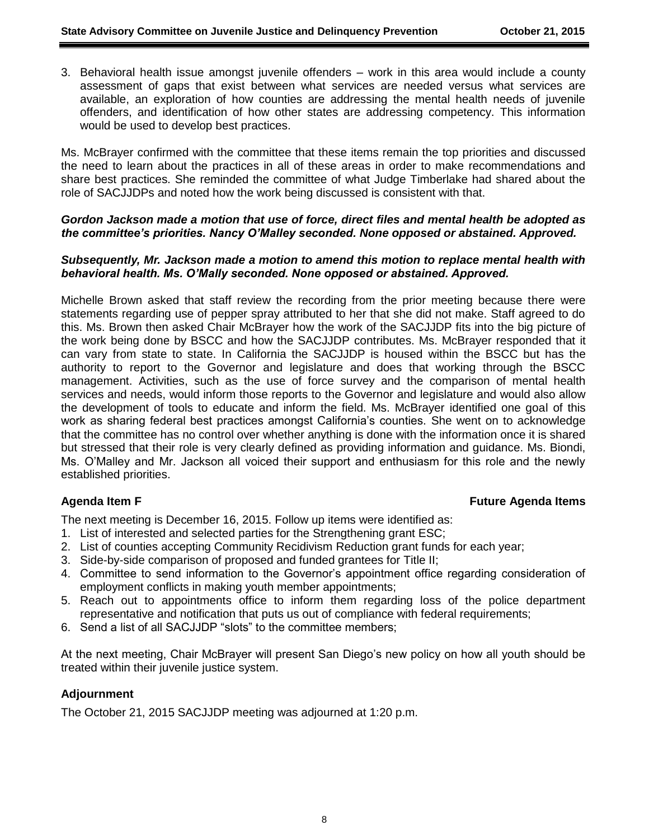3. Behavioral health issue amongst juvenile offenders – work in this area would include a county assessment of gaps that exist between what services are needed versus what services are available, an exploration of how counties are addressing the mental health needs of juvenile offenders, and identification of how other states are addressing competency. This information would be used to develop best practices.

Ms. McBrayer confirmed with the committee that these items remain the top priorities and discussed the need to learn about the practices in all of these areas in order to make recommendations and share best practices. She reminded the committee of what Judge Timberlake had shared about the role of SACJJDPs and noted how the work being discussed is consistent with that.

## *Gordon Jackson made a motion that use of force, direct files and mental health be adopted as the committee's priorities. Nancy O'Malley seconded. None opposed or abstained. Approved.*

## *Subsequently, Mr. Jackson made a motion to amend this motion to replace mental health with behavioral health. Ms. O'Mally seconded. None opposed or abstained. Approved.*

Michelle Brown asked that staff review the recording from the prior meeting because there were statements regarding use of pepper spray attributed to her that she did not make. Staff agreed to do this. Ms. Brown then asked Chair McBrayer how the work of the SACJJDP fits into the big picture of the work being done by BSCC and how the SACJJDP contributes. Ms. McBrayer responded that it can vary from state to state. In California the SACJJDP is housed within the BSCC but has the authority to report to the Governor and legislature and does that working through the BSCC management. Activities, such as the use of force survey and the comparison of mental health services and needs, would inform those reports to the Governor and legislature and would also allow the development of tools to educate and inform the field. Ms. McBrayer identified one goal of this work as sharing federal best practices amongst California's counties. She went on to acknowledge that the committee has no control over whether anything is done with the information once it is shared but stressed that their role is very clearly defined as providing information and guidance. Ms. Biondi, Ms. O'Malley and Mr. Jackson all voiced their support and enthusiasm for this role and the newly established priorities.

# **Agenda Item F Future Agenda Items**

The next meeting is December 16, 2015. Follow up items were identified as:

- 1. List of interested and selected parties for the Strengthening grant ESC;
- 2. List of counties accepting Community Recidivism Reduction grant funds for each year;
- 3. Side-by-side comparison of proposed and funded grantees for Title II;
- 4. Committee to send information to the Governor's appointment office regarding consideration of employment conflicts in making youth member appointments;
- 5. Reach out to appointments office to inform them regarding loss of the police department representative and notification that puts us out of compliance with federal requirements;
- 6. Send a list of all SACJJDP "slots" to the committee members;

At the next meeting, Chair McBrayer will present San Diego's new policy on how all youth should be treated within their juvenile justice system.

# **Adjournment**

The October 21, 2015 SACJJDP meeting was adjourned at 1:20 p.m.